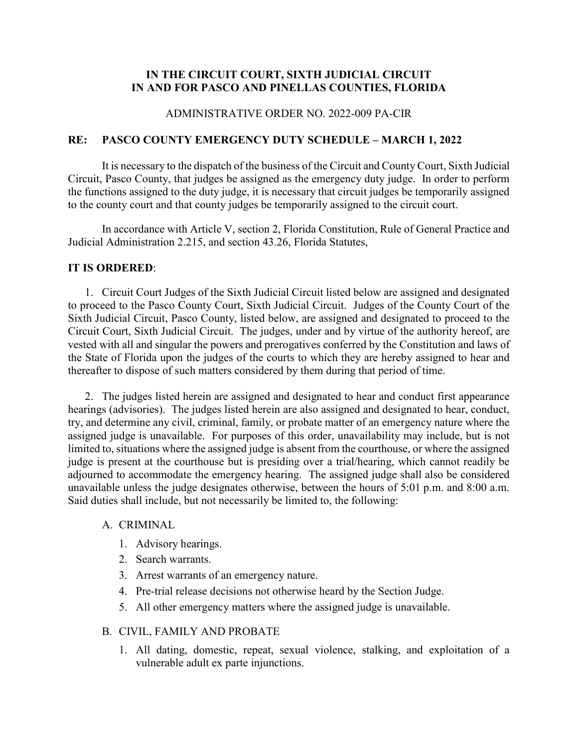## **IN THE CIRCUIT COURT, SIXTH JUDICIAL CIRCUIT IN AND FOR PASCO AND PINELLAS COUNTIES, FLORIDA**

## ADMINISTRATIVE ORDER NO. 2022-009 PA-CIR

## **RE: PASCO COUNTY EMERGENCY DUTY SCHEDULE – MARCH 1, 2022**

It is necessary to the dispatch of the business of the Circuit and County Court, Sixth Judicial Circuit, Pasco County, that judges be assigned as the emergency duty judge. In order to perform the functions assigned to the duty judge, it is necessary that circuit judges be temporarily assigned to the county court and that county judges be temporarily assigned to the circuit court.

In accordance with Article V, section 2, Florida Constitution, Rule of General Practice and Judicial Administration 2.215, and section 43.26, Florida Statutes,

#### **IT IS ORDERED**:

1. Circuit Court Judges of the Sixth Judicial Circuit listed below are assigned and designated to proceed to the Pasco County Court, Sixth Judicial Circuit. Judges of the County Court of the Sixth Judicial Circuit, Pasco County, listed below, are assigned and designated to proceed to the Circuit Court, Sixth Judicial Circuit. The judges, under and by virtue of the authority hereof, are vested with all and singular the powers and prerogatives conferred by the Constitution and laws of the State of Florida upon the judges of the courts to which they are hereby assigned to hear and thereafter to dispose of such matters considered by them during that period of time.

2. The judges listed herein are assigned and designated to hear and conduct first appearance hearings (advisories). The judges listed herein are also assigned and designated to hear, conduct, try, and determine any civil, criminal, family, or probate matter of an emergency nature where the assigned judge is unavailable. For purposes of this order, unavailability may include, but is not limited to, situations where the assigned judge is absent from the courthouse, or where the assigned judge is present at the courthouse but is presiding over a trial/hearing, which cannot readily be adjourned to accommodate the emergency hearing. The assigned judge shall also be considered unavailable unless the judge designates otherwise, between the hours of 5:01 p.m. and 8:00 a.m. Said duties shall include, but not necessarily be limited to, the following:

#### A. CRIMINAL

- 1. Advisory hearings.
- 2. Search warrants.
- 3. Arrest warrants of an emergency nature.
- 4. Pre-trial release decisions not otherwise heard by the Section Judge.
- 5. All other emergency matters where the assigned judge is unavailable.

#### B. CIVIL, FAMILY AND PROBATE

1. All dating, domestic, repeat, sexual violence, stalking, and exploitation of a vulnerable adult ex parte injunctions.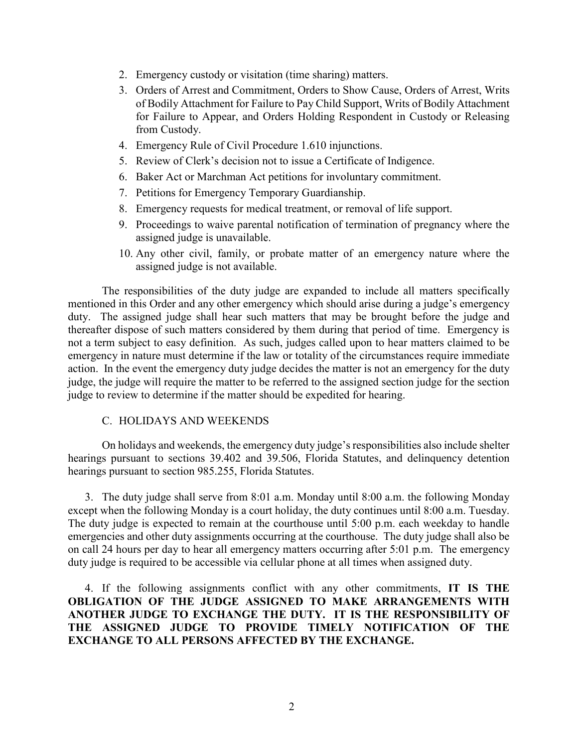- 2. Emergency custody or visitation (time sharing) matters.
- 3. Orders of Arrest and Commitment, Orders to Show Cause, Orders of Arrest, Writs of Bodily Attachment for Failure to Pay Child Support, Writs of Bodily Attachment for Failure to Appear, and Orders Holding Respondent in Custody or Releasing from Custody.
- 4. Emergency Rule of Civil Procedure 1.610 injunctions.
- 5. Review of Clerk's decision not to issue a Certificate of Indigence.
- 6. Baker Act or Marchman Act petitions for involuntary commitment.
- 7. Petitions for Emergency Temporary Guardianship.
- 8. Emergency requests for medical treatment, or removal of life support.
- 9. Proceedings to waive parental notification of termination of pregnancy where the assigned judge is unavailable.
- 10. Any other civil, family, or probate matter of an emergency nature where the assigned judge is not available.

The responsibilities of the duty judge are expanded to include all matters specifically mentioned in this Order and any other emergency which should arise during a judge's emergency duty. The assigned judge shall hear such matters that may be brought before the judge and thereafter dispose of such matters considered by them during that period of time. Emergency is not a term subject to easy definition. As such, judges called upon to hear matters claimed to be emergency in nature must determine if the law or totality of the circumstances require immediate action. In the event the emergency duty judge decides the matter is not an emergency for the duty judge, the judge will require the matter to be referred to the assigned section judge for the section judge to review to determine if the matter should be expedited for hearing.

#### C. HOLIDAYS AND WEEKENDS

On holidays and weekends, the emergency duty judge's responsibilities also include shelter hearings pursuant to sections 39.402 and 39.506, Florida Statutes, and delinquency detention hearings pursuant to section 985.255, Florida Statutes.

3. The duty judge shall serve from 8:01 a.m. Monday until 8:00 a.m. the following Monday except when the following Monday is a court holiday, the duty continues until 8:00 a.m. Tuesday. The duty judge is expected to remain at the courthouse until 5:00 p.m. each weekday to handle emergencies and other duty assignments occurring at the courthouse. The duty judge shall also be on call 24 hours per day to hear all emergency matters occurring after 5:01 p.m. The emergency duty judge is required to be accessible via cellular phone at all times when assigned duty.

4. If the following assignments conflict with any other commitments, **IT IS THE OBLIGATION OF THE JUDGE ASSIGNED TO MAKE ARRANGEMENTS WITH ANOTHER JUDGE TO EXCHANGE THE DUTY. IT IS THE RESPONSIBILITY OF THE ASSIGNED JUDGE TO PROVIDE TIMELY NOTIFICATION OF THE EXCHANGE TO ALL PERSONS AFFECTED BY THE EXCHANGE.**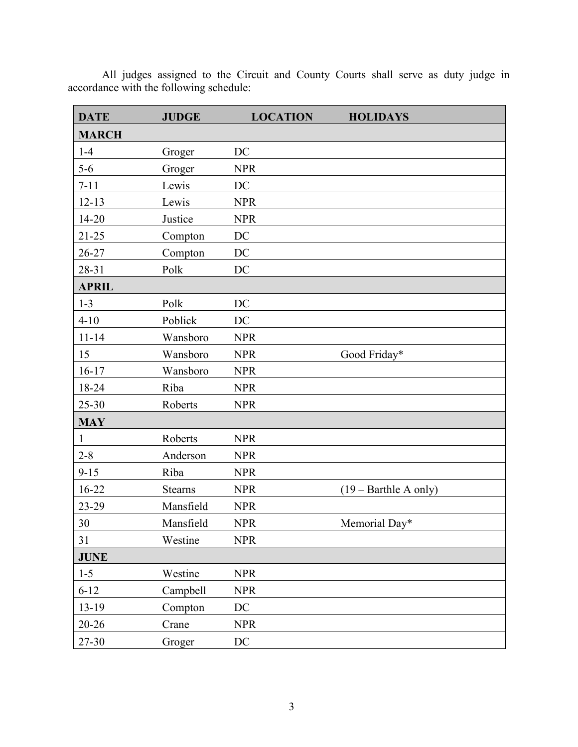| <b>DATE</b>  | <b>JUDGE</b>   | <b>LOCATION</b> | <b>HOLIDAYS</b>                |
|--------------|----------------|-----------------|--------------------------------|
| <b>MARCH</b> |                |                 |                                |
| $1-4$        | Groger         | DC              |                                |
| $5-6$        | Groger         | <b>NPR</b>      |                                |
| $7 - 11$     | Lewis          | DC              |                                |
| $12 - 13$    | Lewis          | <b>NPR</b>      |                                |
| $14 - 20$    | Justice        | <b>NPR</b>      |                                |
| $21 - 25$    | Compton        | DC              |                                |
| $26 - 27$    | Compton        | DC              |                                |
| 28-31        | Polk           | DC              |                                |
| <b>APRIL</b> |                |                 |                                |
| $1 - 3$      | Polk           | DC              |                                |
| $4 - 10$     | Poblick        | DC              |                                |
| $11 - 14$    | Wansboro       | <b>NPR</b>      |                                |
| 15           | Wansboro       | <b>NPR</b>      | Good Friday*                   |
| $16 - 17$    | Wansboro       | <b>NPR</b>      |                                |
| 18-24        | Riba           | <b>NPR</b>      |                                |
| $25 - 30$    | Roberts        | <b>NPR</b>      |                                |
| <b>MAY</b>   |                |                 |                                |
| $\mathbf{1}$ | Roberts        | <b>NPR</b>      |                                |
| $2 - 8$      | Anderson       | <b>NPR</b>      |                                |
| $9 - 15$     | Riba           | <b>NPR</b>      |                                |
| $16 - 22$    | <b>Stearns</b> | <b>NPR</b>      | $(19 - \text{Barthle A only})$ |
| 23-29        | Mansfield      | <b>NPR</b>      |                                |
| 30           | Mansfield      | <b>NPR</b>      | Memorial Day*                  |
| 31           | Westine        | <b>NPR</b>      |                                |
| <b>JUNE</b>  |                |                 |                                |
| $1 - 5$      | Westine        | <b>NPR</b>      |                                |
| $6 - 12$     | Campbell       | <b>NPR</b>      |                                |
| 13-19        | Compton        | DC              |                                |
| $20 - 26$    | Crane          | <b>NPR</b>      |                                |
| 27-30        | Groger         | $\rm DC$        |                                |

All judges assigned to the Circuit and County Courts shall serve as duty judge in accordance with the following schedule: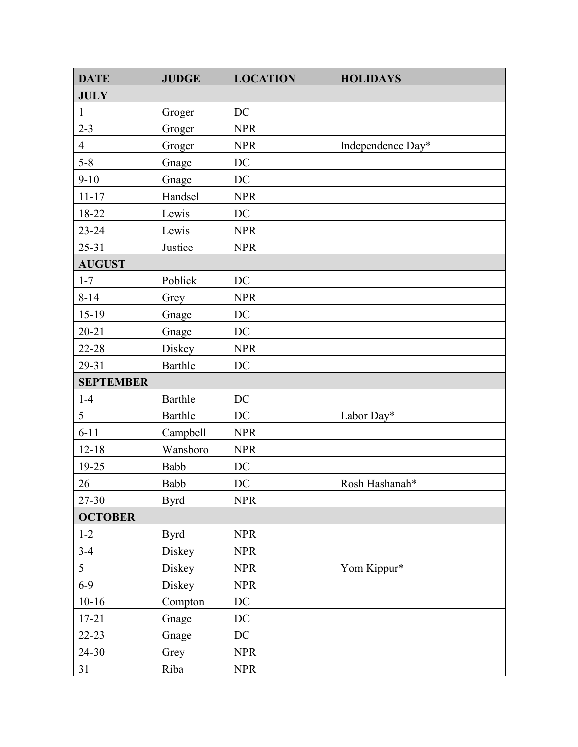| <b>DATE</b>      | <b>JUDGE</b> | <b>LOCATION</b> | <b>HOLIDAYS</b>   |
|------------------|--------------|-----------------|-------------------|
| <b>JULY</b>      |              |                 |                   |
| $\mathbf{1}$     | Groger       | DC              |                   |
| $2 - 3$          | Groger       | <b>NPR</b>      |                   |
| $\overline{4}$   | Groger       | <b>NPR</b>      | Independence Day* |
| $5 - 8$          | Gnage        | DC              |                   |
| $9 - 10$         | Gnage        | DC              |                   |
| $11 - 17$        | Handsel      | <b>NPR</b>      |                   |
| 18-22            | Lewis        | DC              |                   |
| $23 - 24$        | Lewis        | <b>NPR</b>      |                   |
| $25 - 31$        | Justice      | <b>NPR</b>      |                   |
| <b>AUGUST</b>    |              |                 |                   |
| $1 - 7$          | Poblick      | DC              |                   |
| $8 - 14$         | Grey         | <b>NPR</b>      |                   |
| 15-19            | Gnage        | DC              |                   |
| $20 - 21$        | Gnage        | DC              |                   |
| 22-28            | Diskey       | <b>NPR</b>      |                   |
| 29-31            | Barthle      | DC              |                   |
| <b>SEPTEMBER</b> |              |                 |                   |
| $1-4$            | Barthle      | DC              |                   |
| 5                | Barthle      | DC              | Labor Day*        |
| $6 - 11$         | Campbell     | <b>NPR</b>      |                   |
| $12 - 18$        | Wansboro     | <b>NPR</b>      |                   |
| 19-25            | Babb         | DC              |                   |
| 26               | Babb         | DC              | Rosh Hashanah*    |
| 27-30            | <b>Byrd</b>  | <b>NPR</b>      |                   |
| <b>OCTOBER</b>   |              |                 |                   |
| $1 - 2$          | <b>Byrd</b>  | <b>NPR</b>      |                   |
| $3-4$            | Diskey       | <b>NPR</b>      |                   |
| 5                | Diskey       | <b>NPR</b>      | Yom Kippur*       |
| $6 - 9$          | Diskey       | <b>NPR</b>      |                   |
| $10 - 16$        | Compton      | $\rm DC$        |                   |
| $17 - 21$        | Gnage        | DC              |                   |
| $22 - 23$        | Gnage        | DC              |                   |
| 24-30            | Grey         | <b>NPR</b>      |                   |
| 31               | Riba         | <b>NPR</b>      |                   |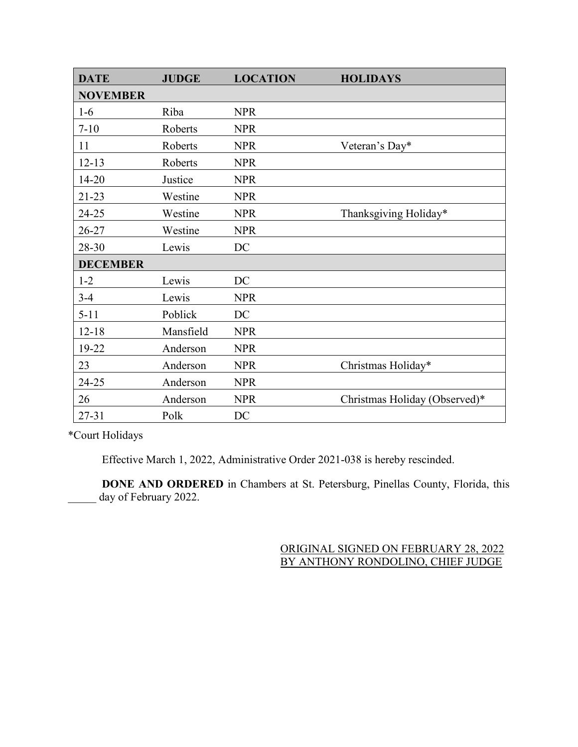| <b>DATE</b>     | <b>JUDGE</b> | <b>LOCATION</b> | <b>HOLIDAYS</b>               |
|-----------------|--------------|-----------------|-------------------------------|
| <b>NOVEMBER</b> |              |                 |                               |
| $1-6$           | Riba         | <b>NPR</b>      |                               |
| $7 - 10$        | Roberts      | <b>NPR</b>      |                               |
| 11              | Roberts      | <b>NPR</b>      | Veteran's Day*                |
| $12 - 13$       | Roberts      | <b>NPR</b>      |                               |
| $14 - 20$       | Justice      | <b>NPR</b>      |                               |
| $21 - 23$       | Westine      | <b>NPR</b>      |                               |
| 24-25           | Westine      | <b>NPR</b>      | Thanksgiving Holiday*         |
| 26-27           | Westine      | <b>NPR</b>      |                               |
| 28-30           | Lewis        | DC              |                               |
| <b>DECEMBER</b> |              |                 |                               |
| $1 - 2$         | Lewis        | DC              |                               |
| $3-4$           | Lewis        | <b>NPR</b>      |                               |
| $5 - 11$        | Poblick      | DC              |                               |
| $12 - 18$       | Mansfield    | <b>NPR</b>      |                               |
| 19-22           | Anderson     | <b>NPR</b>      |                               |
| 23              | Anderson     | <b>NPR</b>      | Christmas Holiday*            |
| 24-25           | Anderson     | <b>NPR</b>      |                               |
| 26              | Anderson     | <b>NPR</b>      | Christmas Holiday (Observed)* |
| $27 - 31$       | Polk         | DC              |                               |

\*Court Holidays

Effective March 1, 2022, Administrative Order 2021-038 is hereby rescinded.

**DONE AND ORDERED** in Chambers at St. Petersburg, Pinellas County, Florida, this day of February 2022.

# ORIGINAL SIGNED ON FEBRUARY 28, 2022 BY ANTHONY RONDOLINO, CHIEF JUDGE